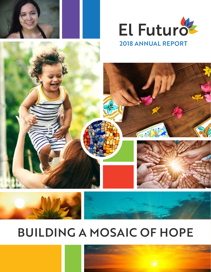



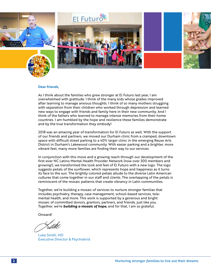

#### **Dear friends,**

As I think about the families who grew stronger at El Futuro last year, I am overwhelmed with gratitude. I think of the many kids whose grades improved after learning to manage anxious thoughts. I think of so many mothers struggling with separation from their children who worked through depression and learned new ways to engage with friends and family here in their new community. And I think of the fathers who learned to manage intense memories from their home countries. I am humbled by the hope and resilience these families demonstrate and by the true transformation they embody!

2018 was an amazing year of transformation for El Futuro as well. With the support of our friends and partners, we moved our Durham clinic from a cramped, downtown space with difficult street parking to a 40% larger clinic in the emerging Reuse Arts District in Durham's Lakewood community. With easier parking and a brighter, more vibrant feel, many more families are finding their way to our services.

In conjunction with this move and a growing reach through our development of the first-ever NC Latino Mental Health Provider Network (now over 300 members and growing!), we transformed the look and feel of El Futuro with a new logo. The logo suggests petals of the sunflower, which represents hope and happiness as it turns its face to the sun. The brightly colored petals allude to the diverse Latin American cultures that come together in our staff and clients. The overlapping of the petals is reminiscent of the mosaic patterns that create vibrancy in Latin communities.

Together, we're building a mosaic of services to nurture stronger familias that includes psychiatry, therapy, case management, school-based services, telemental health, and more. This work is supported by a generous and bright mosaic of committed donors, grantors, partners, and friends, just like you. Together, we're *building a mosaic of hope,* and for that, I am so grateful.

Onward!

Luke Smith, MD Executive Director & Psychiatrist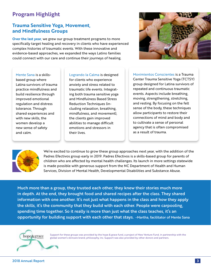# **Program Highlight**

## **Trauma Sensitive Yoga, Movement, and Mindfulness Groups**

**Over the last year,** we grew our group treatment programs to more specifically target healing and recovery in clients who have experienced complex histories of traumatic events. With these innovative and evidence-based approaches, we expanded the ways Latino families could connect with our care and continue their journeys of healing.



Mente Sana is a skillsbased group where Latina survivors of trauma practice mindfulness and build resilience through improved emotional regulation and distress tolerance. Through shared experiences and with new skills, the women develop a new sense of safety and calm.

Logrando la Calma is designed for clients who experience anxiety and stress related to traumatic life events. Integrating both trauma sensitive yoga and Mindfulness Based Stress Reduction Techniques (including relaxation, breathing, mindfulness, and movement), the clients gain improved abilities to manage difficult emotions and stressors in their lives.

Movimientos Conscientes is a Trauma Center Trauma Sensitive Yoga (TCTSY) group designed for Latina survivors of repeated and continuous traumatic events. Aspects include breathing, moving, strengthening, stretching, and resting. By focusing on the felt sense of the body, these techniques allow participants to restore their connections of mind and body and to cultivate a sense of personal agency that is often compromised as a result of trauma.



We're excited to continue to grow these group approaches next year, with the addition of the Padres Efectivos group early in 2019. Padres Efectivos is a skills-based group for parents of children who are affected by mental health challenges. Its launch in more settings statewide is made possible with generous support from the NC Department of Health and Human Services, Division of Mental Health, Developmental Disabilities and Substance Abuse.

Much more than a group, they trusted each other, they knew their stories much more in depth. At the end, they brought food and shared recipes after the class. They shared information with one another. It's not just what happens in the class and how they apply the skills, it's the community that they build with each other. People were carpooling, spending time together. So it really is more than just what the class teaches, it's an opportunity for building support with each other that stays. -Martha, facilitator of Mente Sana



Support for these groups was provided by the hope & grace fund, a project of New Venture Fund, in partnership with the global women's skincare brand, philosophy, inc. Support was also provided by other donors and partners.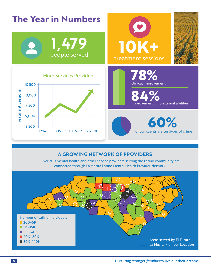

## **A GROWING NETWORK OF PROVIDERS**

Over 300 mental health and other service providers serving the Latino community are connected through La Mesita Latino Mental Health Provider Network.

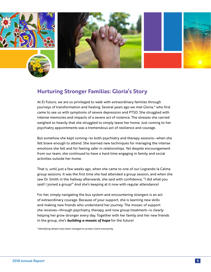

## **Nurturing Stronger Familias: Gloria's Story**

At El Futuro, we are so privileged to walk with extraordinary families through journeys of transformation and healing. Several years ago we met Gloria,\* who first came to see us with symptoms of severe depression and PTSD. She struggled with intense memories and impacts of a severe act of violence. The stresses she carried weighed so heavily that she struggled to simply leave her home. Just coming to her psychiatry appointments was a tremendous act of resilience and courage.

But somehow she kept coming—to both psychiatry and therapy sessions—when she felt brave enough to attend. She learned new techniques for managing the intense emotions she felt and for feeling safer in relationships. Yet despite encouragement from our team, she continued to have a hard time engaging in family and social activities outside her home.

That is, until just a few weeks ago, when she came to one of our Logrando la Calma group sessions. It was the first time she had attended a group session, and when she saw Dr. Smith in the hallway afterwards, she said with confidence, "I did what you said! I joined a group!" And she's keeping at it now with regular attendance!

For her, simply navigating the bus system and encountering strangers is an act of extraordinary courage. Because of your support, she is learning new skills and making new friends who understand her journey. The mosaic of support she receives—through psychiatry, therapy, and now group treatment—is clearly helping her grow stronger every day. Together with her family and her new friends in the group, she's *building a mosaic of hope* for the future!

\*Identifying details have been changed to protect client anonymity.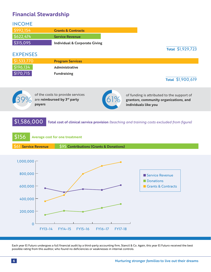# **Financial Stewardship**

| <b>INCOME</b>        |                                          |                                                                                             |
|----------------------|------------------------------------------|---------------------------------------------------------------------------------------------|
| \$992,154            | <b>Grants &amp; Contracts</b>            |                                                                                             |
| \$622,474            | <b>Service Revenue</b>                   |                                                                                             |
| \$315,095            | <b>Individual &amp; Corporate Giving</b> |                                                                                             |
|                      |                                          | Total \$1,929,723                                                                           |
| <b>EXPENSES</b>      |                                          |                                                                                             |
| \$1,533,770          | <b>Program Services</b>                  |                                                                                             |
| \$196,134            | Administrative                           |                                                                                             |
| \$170,715            | <b>Fundraising</b>                       |                                                                                             |
|                      |                                          | Total \$1,900,619                                                                           |
|                      |                                          |                                                                                             |
|                      | of the costs to provide services         | of funding is attributed to the support of                                                  |
|                      | are reimbursed by 3rd party              | 61%<br>grantors, community organizations, and                                               |
|                      | payers                                   | individuals like you                                                                        |
|                      |                                          |                                                                                             |
| \$1,586,000          |                                          | Total cost of clinical service provision (teaching and training costs excluded from figure) |
|                      |                                          |                                                                                             |
|                      |                                          |                                                                                             |
| \$156                | <b>Average cost for one treatment</b>    |                                                                                             |
| \$61 Service Revenue | \$95 Contributions (Grants & Donations)  |                                                                                             |
|                      |                                          |                                                                                             |
|                      |                                          |                                                                                             |
| 1,000,000            |                                          |                                                                                             |
| 800,000              |                                          |                                                                                             |
|                      |                                          | Service Revenue                                                                             |
|                      |                                          | Donations<br>Grants & Contracts                                                             |
| 600,000              |                                          |                                                                                             |
|                      |                                          |                                                                                             |
| 400,000              |                                          |                                                                                             |
| 200,000              |                                          |                                                                                             |
|                      |                                          |                                                                                             |
| $\overline{0}$       |                                          |                                                                                             |
|                      | FY13-14<br>FY14-15<br>FY15-16<br>FY16-17 | FY17-18                                                                                     |

Each year El Futuro undergoes a full financial audit by a third-party accounting firm, Stancil & Co. Again, this year El Futuro received the best possible rating from this auditor, who found no deficiencies or weaknesses in internal controls.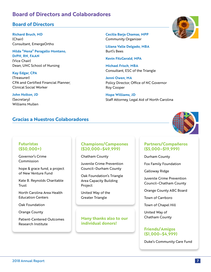## **Board of Directors and Colaboradores**

### **Board of Directors**

**Richard Bruch, MD** (Chair) Consultant, EmergeOrtho

**Nilda "Nena" Peragallo Montano, DrPH, RN, FAAN**  (Vice Chair) Dean, UNC School of Nursing

**Kay Edgar, CPA**  (Treasurer) CPA and Certified Financial Planner; Clinical Social Worker

**John Holton, JD**  (Secretary) Williams Mullen

## **Gracias a Nuestros Colaboradores**

**Cecilia Barja Chamas, MPP** Community Organizer

**Liliana Valle Delgado, MBA** Burt's Bees

**Kevin FitzGerald, MPA**

**Michael Frisch, MBA**  Consultant, ESC of the Triangle

**Jenni Owen, MA** Policy Director, Office of NC Governor Roy Cooper

**Hope Williams, JD** Staff Attorney, Legal Aid of North Carolina



#### **Futuristas (\$50,000+)**

Governor's Crime Commission

hope & grace fund, a project of New Venture Fund

Kate B. Reynolds Charitable **Trust** 

North Carolina Area Health Education Centers

Oak Foundation

Orange County

Patient-Centered Outcomes Research Institute

#### **Champions/Campeones (\$20,000–\$49,999)**

Chatham County

Juvenile Crime Prevention Council–Durham County

Oak Foundation's Triangle Area Capacity Building Project

United Way of the Greater Triangle

#### **Many thanks also to our individual donors!**

#### **Partners/Compañeros (\$5,000–\$19,999)**

Durham County

Fox Family Foundation

Galloway Ridge

Juvenile Crime Prevention Council–Chatham County

Orange County ABC Board

Town of Carrboro

Town of Chapel Hill

United Way of Chatham County

#### **Friends/Amigos (\$1,000–\$4,999)**

Duke's Community Care Fund